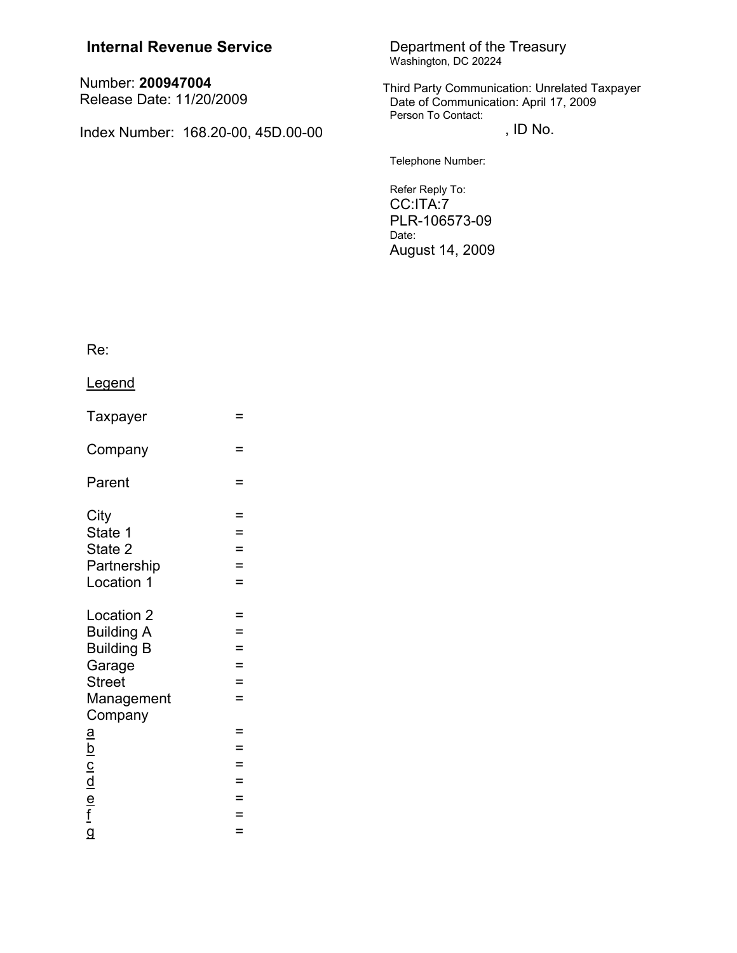| <b>Internal Revenue Service</b>               | Department of the Treasury<br>Washington, DC 20224                                                           |
|-----------------------------------------------|--------------------------------------------------------------------------------------------------------------|
| Number: 200947004<br>Release Date: 11/20/2009 | Third Party Communication: Unrelated Taxpayer<br>Date of Communication: April 17, 2009<br>Person To Contact: |
| Index Number: 168.20-00, 45D.00-00            | , ID No.                                                                                                     |
|                                               | Telephone Number:                                                                                            |
|                                               | Refer Reply To:<br>CC:ITA:7<br>PLR-106573-09<br>Date:<br>August 14, 2009                                     |

Re:

Legend

| Taxpayer                                  | =        |
|-------------------------------------------|----------|
| Company                                   | Ξ        |
| Parent                                    | =        |
| City                                      | =        |
| State 1                                   | =        |
| State 2                                   | Ξ        |
| Partnership                               | $=$      |
| Location 1                                | $=$      |
| Location 2<br><b>Building A</b>           | =<br>$=$ |
| <b>Building B</b>                         | $=$      |
| Garage                                    | $=$      |
| <b>Street</b>                             | =        |
| Management<br>Company                     | $=$      |
| <u>а</u>                                  | $=$      |
|                                           | $=$      |
|                                           | $=$      |
|                                           | $=$      |
| $\frac{b}{c}$ $\frac{c}{d}$ $\frac{d}{f}$ | $=$      |
|                                           | =        |
| $\overline{a}$                            | =        |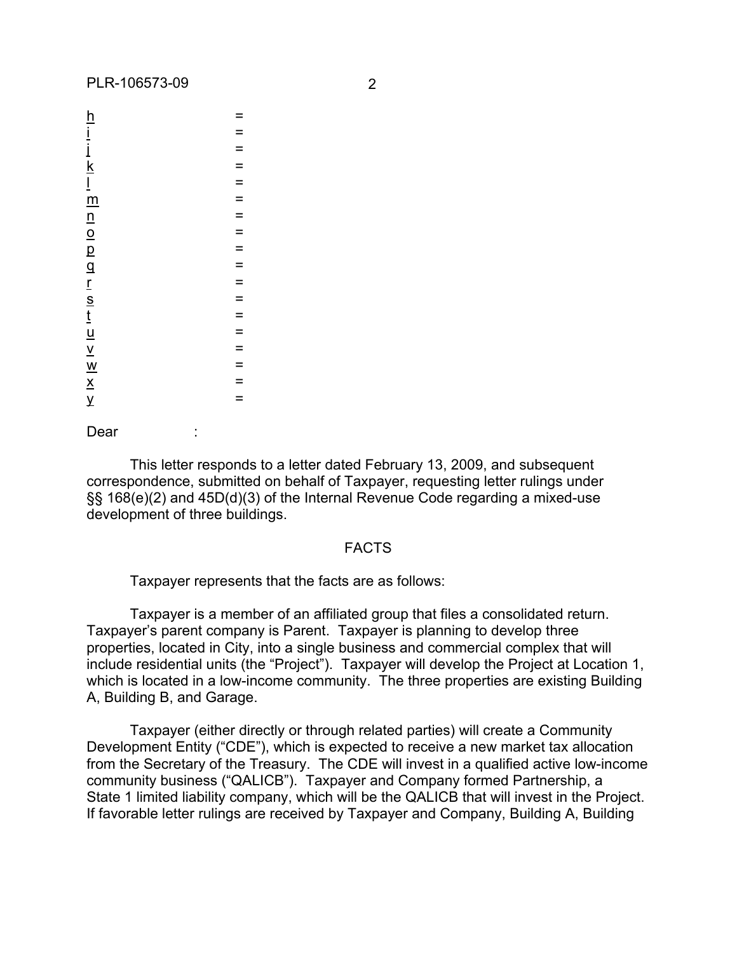| $=$      |
|----------|
| $=$      |
| $=$      |
| $=$      |
| $=$      |
| $=$      |
| $=$      |
| $\equiv$ |
| $=$      |
| $\equiv$ |
|          |
| $=$      |
| $=$      |
| $=$      |
| $=$      |
| $=$      |
| $=$      |
| $=$      |

Dear :

This letter responds to a letter dated February 13, 2009, and subsequent correspondence, submitted on behalf of Taxpayer, requesting letter rulings under §§ 168(e)(2) and 45D(d)(3) of the Internal Revenue Code regarding a mixed-use development of three buildings.

#### FACTS

Taxpayer represents that the facts are as follows:

Taxpayer is a member of an affiliated group that files a consolidated return. Taxpayer's parent company is Parent. Taxpayer is planning to develop three properties, located in City, into a single business and commercial complex that will include residential units (the "Project"). Taxpayer will develop the Project at Location 1, which is located in a low-income community. The three properties are existing Building A, Building B, and Garage.

Taxpayer (either directly or through related parties) will create a Community Development Entity ("CDE"), which is expected to receive a new market tax allocation from the Secretary of the Treasury. The CDE will invest in a qualified active low-income community business ("QALICB"). Taxpayer and Company formed Partnership, a State 1 limited liability company, which will be the QALICB that will invest in the Project. If favorable letter rulings are received by Taxpayer and Company, Building A, Building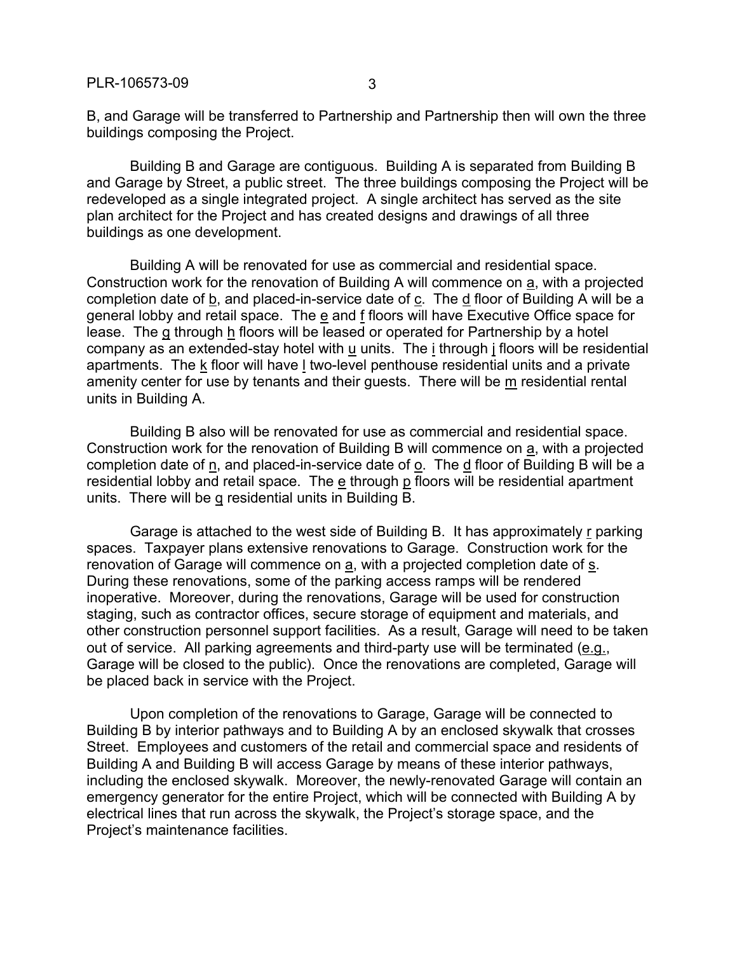B, and Garage will be transferred to Partnership and Partnership then will own the three buildings composing the Project.

Building B and Garage are contiguous. Building A is separated from Building B and Garage by Street, a public street. The three buildings composing the Project will be redeveloped as a single integrated project. A single architect has served as the site plan architect for the Project and has created designs and drawings of all three buildings as one development.

Building A will be renovated for use as commercial and residential space. Construction work for the renovation of Building A will commence on a, with a projected completion date of b, and placed-in-service date of c. The d floor of Building A will be a general lobby and retail space. The e and f floors will have Executive Office space for lease. The g through h floors will be leased or operated for Partnership by a hotel company as an extended-stay hotel with u units. The i through j floors will be residential apartments. The k floor will have l two-level penthouse residential units and a private amenity center for use by tenants and their guests. There will be  $m$  residential rental units in Building A.

Building B also will be renovated for use as commercial and residential space. Construction work for the renovation of Building B will commence on a, with a projected completion date of n, and placed-in-service date of o. The d floor of Building B will be a residential lobby and retail space. The  $\overline{e}$  through p floors will be residential apartment units. There will be q residential units in Building B.

Garage is attached to the west side of Building B. It has approximately r parking spaces. Taxpayer plans extensive renovations to Garage. Construction work for the renovation of Garage will commence on a, with a projected completion date of s. During these renovations, some of the parking access ramps will be rendered inoperative. Moreover, during the renovations, Garage will be used for construction staging, such as contractor offices, secure storage of equipment and materials, and other construction personnel support facilities. As a result, Garage will need to be taken out of service. All parking agreements and third-party use will be terminated (e.g., Garage will be closed to the public). Once the renovations are completed, Garage will be placed back in service with the Project.

Upon completion of the renovations to Garage, Garage will be connected to Building B by interior pathways and to Building A by an enclosed skywalk that crosses Street. Employees and customers of the retail and commercial space and residents of Building A and Building B will access Garage by means of these interior pathways, including the enclosed skywalk. Moreover, the newly-renovated Garage will contain an emergency generator for the entire Project, which will be connected with Building A by electrical lines that run across the skywalk, the Project's storage space, and the Project's maintenance facilities.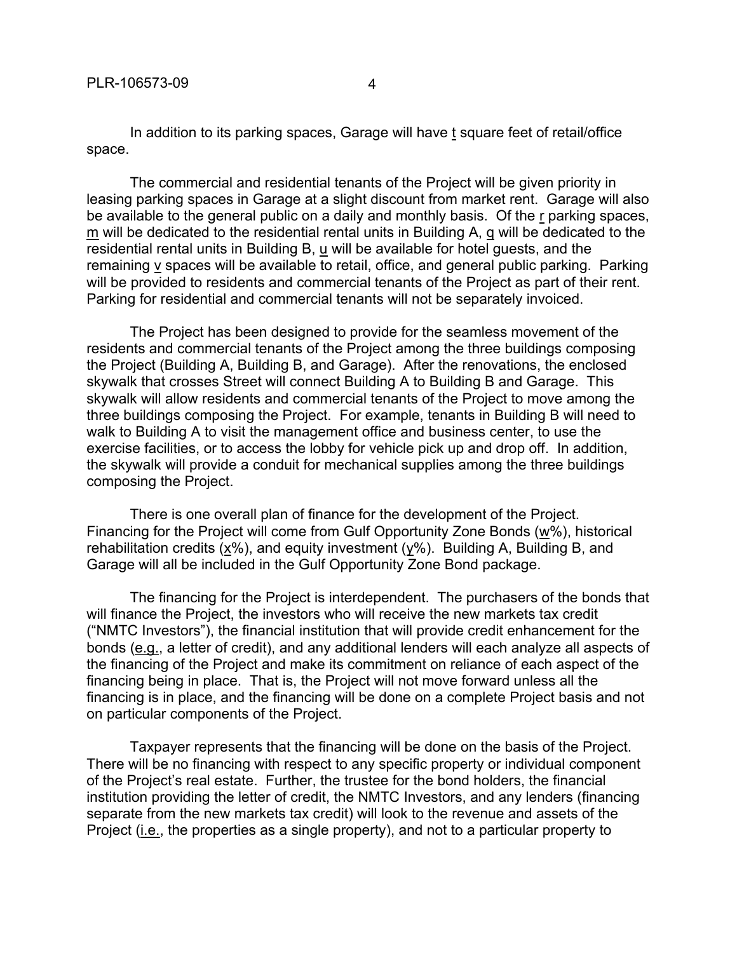In addition to its parking spaces, Garage will have t square feet of retail/office space.

The commercial and residential tenants of the Project will be given priority in leasing parking spaces in Garage at a slight discount from market rent. Garage will also be available to the general public on a daily and monthly basis. Of the r parking spaces, m will be dedicated to the residential rental units in Building A, q will be dedicated to the residential rental units in Building B, u will be available for hotel guests, and the remaining v spaces will be available to retail, office, and general public parking. Parking will be provided to residents and commercial tenants of the Project as part of their rent. Parking for residential and commercial tenants will not be separately invoiced.

The Project has been designed to provide for the seamless movement of the residents and commercial tenants of the Project among the three buildings composing the Project (Building A, Building B, and Garage). After the renovations, the enclosed skywalk that crosses Street will connect Building A to Building B and Garage. This skywalk will allow residents and commercial tenants of the Project to move among the three buildings composing the Project. For example, tenants in Building B will need to walk to Building A to visit the management office and business center, to use the exercise facilities, or to access the lobby for vehicle pick up and drop off. In addition, the skywalk will provide a conduit for mechanical supplies among the three buildings composing the Project.

There is one overall plan of finance for the development of the Project. Financing for the Project will come from Gulf Opportunity Zone Bonds (w%), historical rehabilitation credits  $(x\%)$ , and equity investment  $(y\%)$ . Building A, Building B, and Garage will all be included in the Gulf Opportunity Zone Bond package.

The financing for the Project is interdependent. The purchasers of the bonds that will finance the Project, the investors who will receive the new markets tax credit ("NMTC Investors"), the financial institution that will provide credit enhancement for the bonds (e.g., a letter of credit), and any additional lenders will each analyze all aspects of the financing of the Project and make its commitment on reliance of each aspect of the financing being in place. That is, the Project will not move forward unless all the financing is in place, and the financing will be done on a complete Project basis and not on particular components of the Project.

Taxpayer represents that the financing will be done on the basis of the Project. There will be no financing with respect to any specific property or individual component of the Project's real estate. Further, the trustee for the bond holders, the financial institution providing the letter of credit, the NMTC Investors, and any lenders (financing separate from the new markets tax credit) will look to the revenue and assets of the Project (i.e., the properties as a single property), and not to a particular property to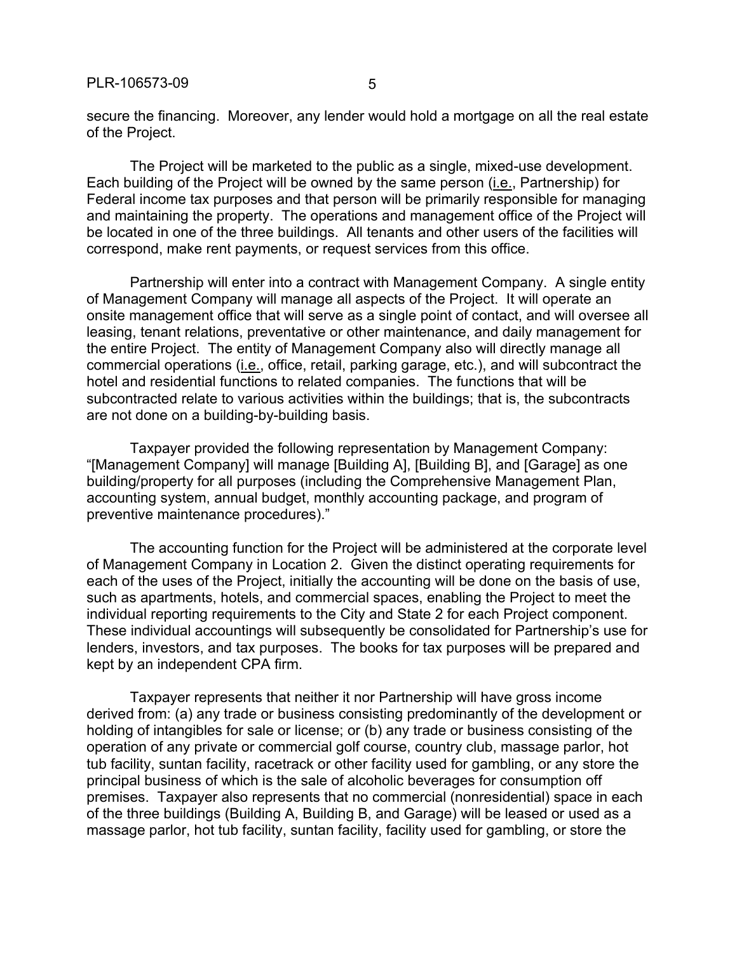secure the financing. Moreover, any lender would hold a mortgage on all the real estate of the Project.

The Project will be marketed to the public as a single, mixed-use development. Each building of the Project will be owned by the same person (i.e., Partnership) for Federal income tax purposes and that person will be primarily responsible for managing and maintaining the property. The operations and management office of the Project will be located in one of the three buildings. All tenants and other users of the facilities will correspond, make rent payments, or request services from this office.

Partnership will enter into a contract with Management Company. A single entity of Management Company will manage all aspects of the Project. It will operate an onsite management office that will serve as a single point of contact, and will oversee all leasing, tenant relations, preventative or other maintenance, and daily management for the entire Project. The entity of Management Company also will directly manage all commercial operations (i.e., office, retail, parking garage, etc.), and will subcontract the hotel and residential functions to related companies. The functions that will be subcontracted relate to various activities within the buildings; that is, the subcontracts are not done on a building-by-building basis.

Taxpayer provided the following representation by Management Company: "[Management Company] will manage [Building A], [Building B], and [Garage] as one building/property for all purposes (including the Comprehensive Management Plan, accounting system, annual budget, monthly accounting package, and program of preventive maintenance procedures)."

The accounting function for the Project will be administered at the corporate level of Management Company in Location 2. Given the distinct operating requirements for each of the uses of the Project, initially the accounting will be done on the basis of use, such as apartments, hotels, and commercial spaces, enabling the Project to meet the individual reporting requirements to the City and State 2 for each Project component. These individual accountings will subsequently be consolidated for Partnership's use for lenders, investors, and tax purposes. The books for tax purposes will be prepared and kept by an independent CPA firm.

Taxpayer represents that neither it nor Partnership will have gross income derived from: (a) any trade or business consisting predominantly of the development or holding of intangibles for sale or license; or (b) any trade or business consisting of the operation of any private or commercial golf course, country club, massage parlor, hot tub facility, suntan facility, racetrack or other facility used for gambling, or any store the principal business of which is the sale of alcoholic beverages for consumption off premises. Taxpayer also represents that no commercial (nonresidential) space in each of the three buildings (Building A, Building B, and Garage) will be leased or used as a massage parlor, hot tub facility, suntan facility, facility used for gambling, or store the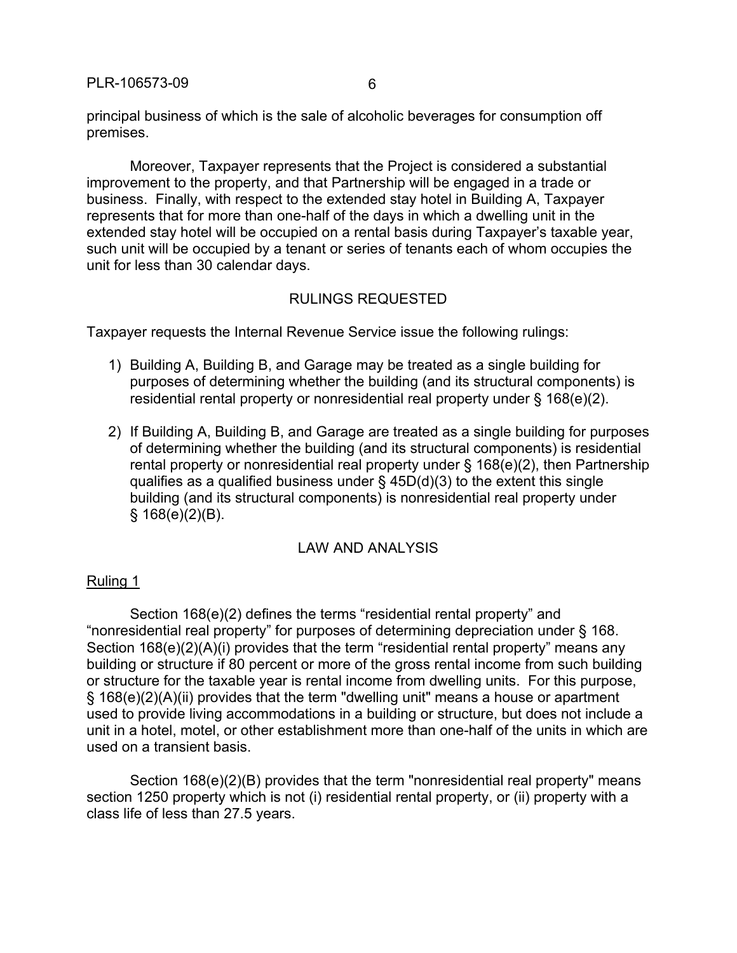principal business of which is the sale of alcoholic beverages for consumption off premises.

Moreover, Taxpayer represents that the Project is considered a substantial improvement to the property, and that Partnership will be engaged in a trade or business. Finally, with respect to the extended stay hotel in Building A, Taxpayer represents that for more than one-half of the days in which a dwelling unit in the extended stay hotel will be occupied on a rental basis during Taxpayer's taxable year, such unit will be occupied by a tenant or series of tenants each of whom occupies the unit for less than 30 calendar days.

# RULINGS REQUESTED

Taxpayer requests the Internal Revenue Service issue the following rulings:

- 1) Building A, Building B, and Garage may be treated as a single building for purposes of determining whether the building (and its structural components) is residential rental property or nonresidential real property under § 168(e)(2).
- 2) If Building A, Building B, and Garage are treated as a single building for purposes of determining whether the building (and its structural components) is residential rental property or nonresidential real property under § 168(e)(2), then Partnership qualifies as a qualified business under  $\S$  45D(d)(3) to the extent this single building (and its structural components) is nonresidential real property under  $§$  168(e)(2)(B).

# LAW AND ANALYSIS

### Ruling 1

Section 168(e)(2) defines the terms "residential rental property" and "nonresidential real property" for purposes of determining depreciation under § 168. Section 168(e)(2)(A)(i) provides that the term "residential rental property" means any building or structure if 80 percent or more of the gross rental income from such building or structure for the taxable year is rental income from dwelling units. For this purpose, § 168(e)(2)(A)(ii) provides that the term "dwelling unit" means a house or apartment used to provide living accommodations in a building or structure, but does not include a unit in a hotel, motel, or other establishment more than one-half of the units in which are used on a transient basis.

Section 168(e)(2)(B) provides that the term "nonresidential real property" means section 1250 property which is not (i) residential rental property, or (ii) property with a class life of less than 27.5 years.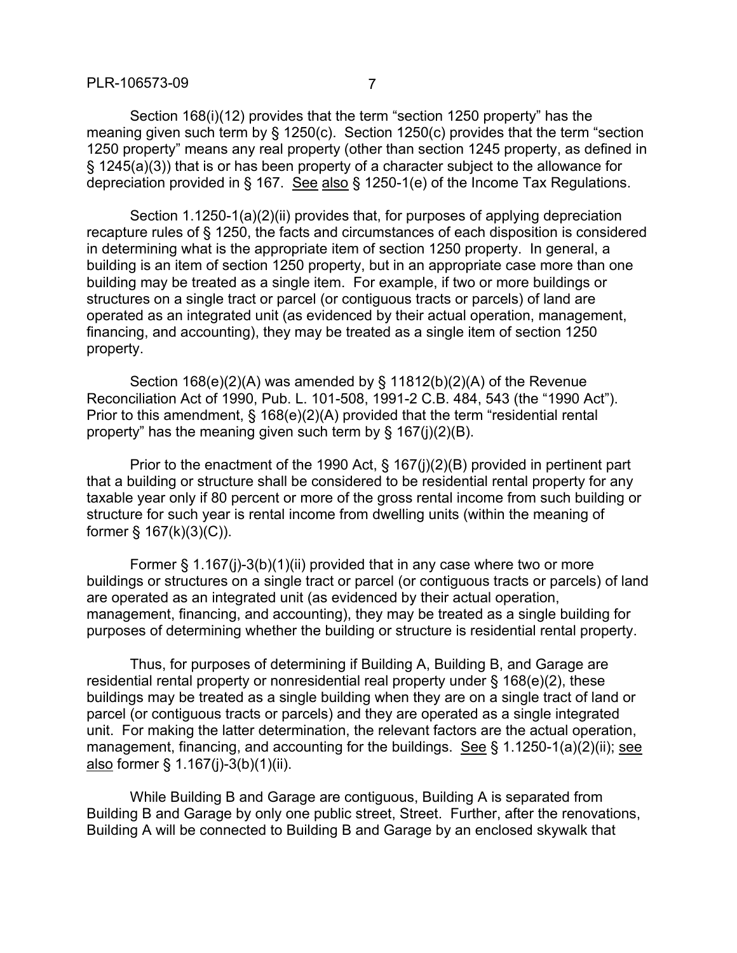Section 168(i)(12) provides that the term "section 1250 property" has the meaning given such term by § 1250(c). Section 1250(c) provides that the term "section 1250 property" means any real property (other than section 1245 property, as defined in § 1245(a)(3)) that is or has been property of a character subject to the allowance for depreciation provided in § 167. See also § 1250-1(e) of the Income Tax Regulations.

Section 1.1250-1(a)(2)(ii) provides that, for purposes of applying depreciation recapture rules of § 1250, the facts and circumstances of each disposition is considered in determining what is the appropriate item of section 1250 property. In general, a building is an item of section 1250 property, but in an appropriate case more than one building may be treated as a single item. For example, if two or more buildings or structures on a single tract or parcel (or contiguous tracts or parcels) of land are operated as an integrated unit (as evidenced by their actual operation, management, financing, and accounting), they may be treated as a single item of section 1250 property.

Section 168(e)(2)(A) was amended by § 11812(b)(2)(A) of the Revenue Reconciliation Act of 1990, Pub. L. 101-508, 1991-2 C.B. 484, 543 (the "1990 Act"). Prior to this amendment, § 168(e)(2)(A) provided that the term "residential rental property" has the meaning given such term by § 167(j)(2)(B).

Prior to the enactment of the 1990 Act, § 167(j)(2)(B) provided in pertinent part that a building or structure shall be considered to be residential rental property for any taxable year only if 80 percent or more of the gross rental income from such building or structure for such year is rental income from dwelling units (within the meaning of former  $\S$  167(k)(3)(C)).

Former § 1.167(j)-3(b)(1)(ii) provided that in any case where two or more buildings or structures on a single tract or parcel (or contiguous tracts or parcels) of land are operated as an integrated unit (as evidenced by their actual operation, management, financing, and accounting), they may be treated as a single building for purposes of determining whether the building or structure is residential rental property.

Thus, for purposes of determining if Building A, Building B, and Garage are residential rental property or nonresidential real property under § 168(e)(2), these buildings may be treated as a single building when they are on a single tract of land or parcel (or contiguous tracts or parcels) and they are operated as a single integrated unit. For making the latter determination, the relevant factors are the actual operation, management, financing, and accounting for the buildings. See § 1.1250-1(a)(2)(ii); see also former § 1.167(j)-3(b)(1)(ii).

While Building B and Garage are contiguous, Building A is separated from Building B and Garage by only one public street, Street. Further, after the renovations, Building A will be connected to Building B and Garage by an enclosed skywalk that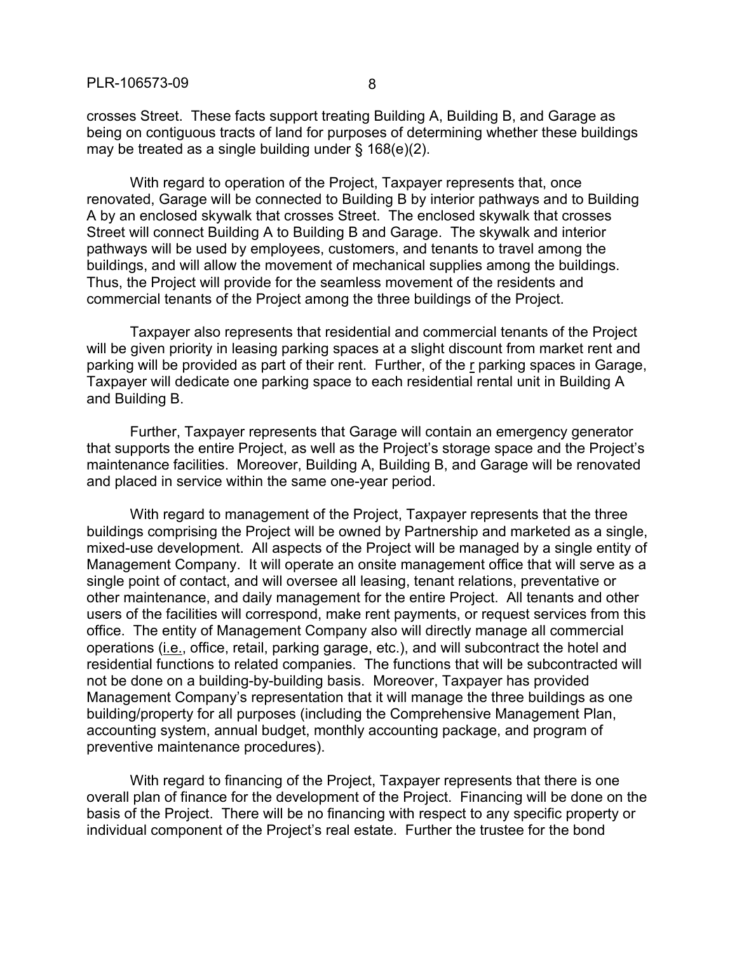crosses Street. These facts support treating Building A, Building B, and Garage as being on contiguous tracts of land for purposes of determining whether these buildings may be treated as a single building under § 168(e)(2).

With regard to operation of the Project, Taxpayer represents that, once renovated, Garage will be connected to Building B by interior pathways and to Building A by an enclosed skywalk that crosses Street. The enclosed skywalk that crosses Street will connect Building A to Building B and Garage. The skywalk and interior pathways will be used by employees, customers, and tenants to travel among the buildings, and will allow the movement of mechanical supplies among the buildings. Thus, the Project will provide for the seamless movement of the residents and commercial tenants of the Project among the three buildings of the Project.

Taxpayer also represents that residential and commercial tenants of the Project will be given priority in leasing parking spaces at a slight discount from market rent and parking will be provided as part of their rent. Further, of the r parking spaces in Garage, Taxpayer will dedicate one parking space to each residential rental unit in Building A and Building B.

Further, Taxpayer represents that Garage will contain an emergency generator that supports the entire Project, as well as the Project's storage space and the Project's maintenance facilities. Moreover, Building A, Building B, and Garage will be renovated and placed in service within the same one-year period.

With regard to management of the Project, Taxpayer represents that the three buildings comprising the Project will be owned by Partnership and marketed as a single, mixed-use development. All aspects of the Project will be managed by a single entity of Management Company. It will operate an onsite management office that will serve as a single point of contact, and will oversee all leasing, tenant relations, preventative or other maintenance, and daily management for the entire Project. All tenants and other users of the facilities will correspond, make rent payments, or request services from this office. The entity of Management Company also will directly manage all commercial operations (i.e., office, retail, parking garage, etc.), and will subcontract the hotel and residential functions to related companies. The functions that will be subcontracted will not be done on a building-by-building basis. Moreover, Taxpayer has provided Management Company's representation that it will manage the three buildings as one building/property for all purposes (including the Comprehensive Management Plan, accounting system, annual budget, monthly accounting package, and program of preventive maintenance procedures).

With regard to financing of the Project, Taxpayer represents that there is one overall plan of finance for the development of the Project. Financing will be done on the basis of the Project. There will be no financing with respect to any specific property or individual component of the Project's real estate. Further the trustee for the bond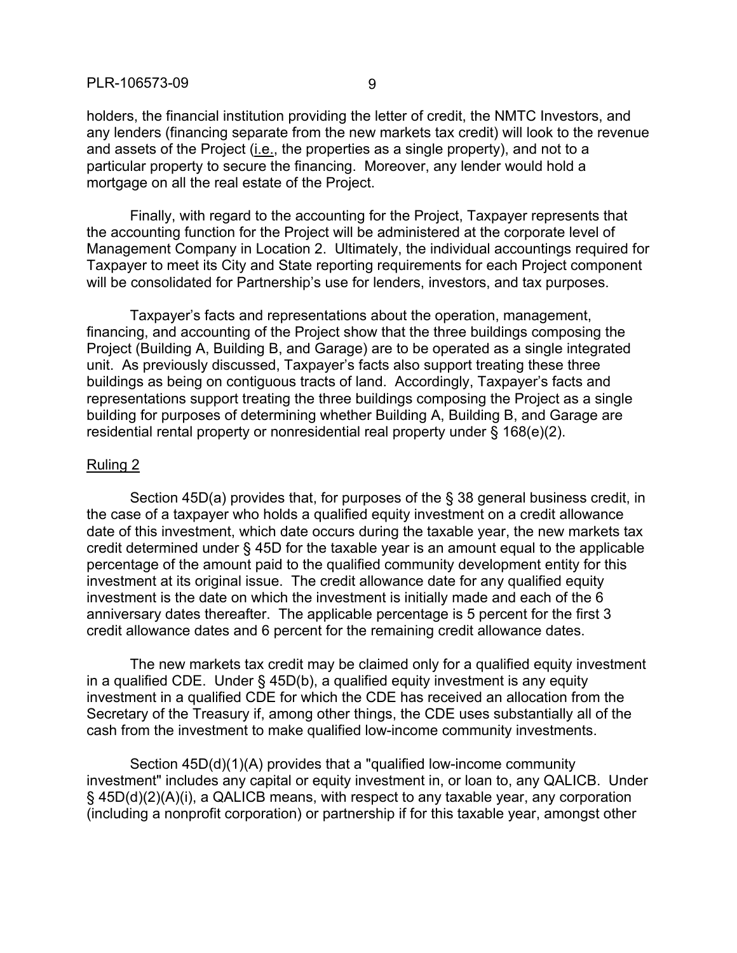holders, the financial institution providing the letter of credit, the NMTC Investors, and any lenders (financing separate from the new markets tax credit) will look to the revenue and assets of the Project (*i.e.*, the properties as a single property), and not to a particular property to secure the financing. Moreover, any lender would hold a mortgage on all the real estate of the Project.

Finally, with regard to the accounting for the Project, Taxpayer represents that the accounting function for the Project will be administered at the corporate level of Management Company in Location 2. Ultimately, the individual accountings required for Taxpayer to meet its City and State reporting requirements for each Project component will be consolidated for Partnership's use for lenders, investors, and tax purposes.

Taxpayer's facts and representations about the operation, management, financing, and accounting of the Project show that the three buildings composing the Project (Building A, Building B, and Garage) are to be operated as a single integrated unit. As previously discussed, Taxpayer's facts also support treating these three buildings as being on contiguous tracts of land. Accordingly, Taxpayer's facts and representations support treating the three buildings composing the Project as a single building for purposes of determining whether Building A, Building B, and Garage are residential rental property or nonresidential real property under § 168(e)(2).

#### Ruling 2

Section 45D(a) provides that, for purposes of the § 38 general business credit, in the case of a taxpayer who holds a qualified equity investment on a credit allowance date of this investment, which date occurs during the taxable year, the new markets tax credit determined under § 45D for the taxable year is an amount equal to the applicable percentage of the amount paid to the qualified community development entity for this investment at its original issue. The credit allowance date for any qualified equity investment is the date on which the investment is initially made and each of the 6 anniversary dates thereafter. The applicable percentage is 5 percent for the first 3 credit allowance dates and 6 percent for the remaining credit allowance dates.

The new markets tax credit may be claimed only for a qualified equity investment in a qualified CDE. Under § 45D(b), a qualified equity investment is any equity investment in a qualified CDE for which the CDE has received an allocation from the Secretary of the Treasury if, among other things, the CDE uses substantially all of the cash from the investment to make qualified low-income community investments.

Section 45D(d)(1)(A) provides that a "qualified low-income community investment" includes any capital or equity investment in, or loan to, any QALICB. Under § 45D(d)(2)(A)(i), a QALICB means, with respect to any taxable year, any corporation (including a nonprofit corporation) or partnership if for this taxable year, amongst other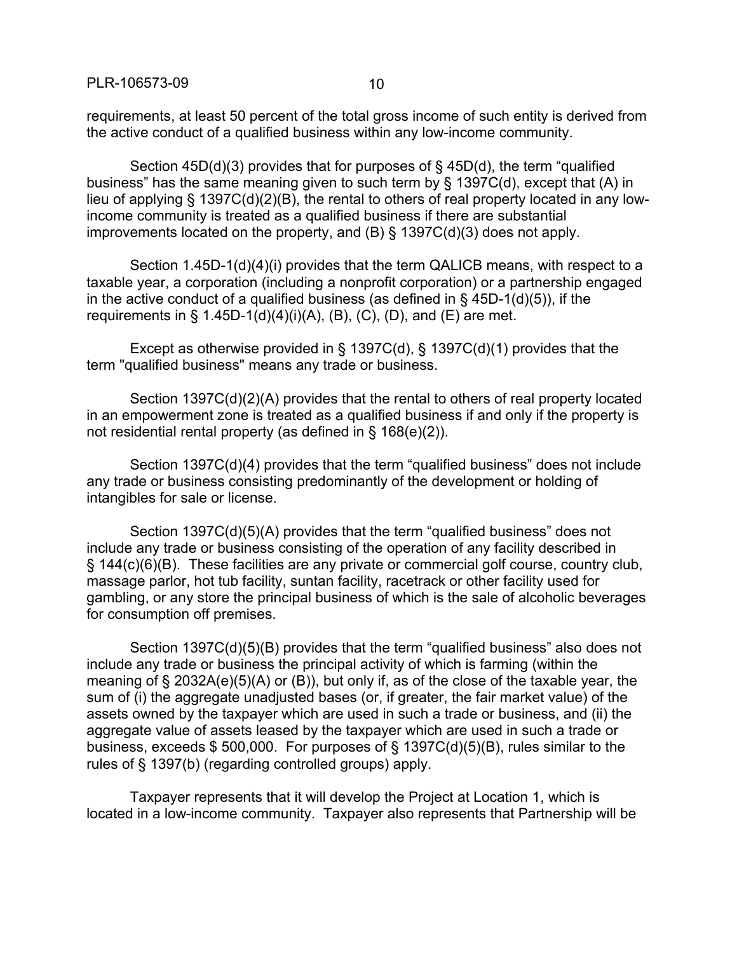requirements, at least 50 percent of the total gross income of such entity is derived from the active conduct of a qualified business within any low-income community.

Section 45D(d)(3) provides that for purposes of § 45D(d), the term "qualified business" has the same meaning given to such term by § 1397C(d), except that (A) in lieu of applying § 1397C(d)(2)(B), the rental to others of real property located in any lowincome community is treated as a qualified business if there are substantial improvements located on the property, and (B) § 1397C(d)(3) does not apply.

Section 1.45D-1(d)(4)(i) provides that the term QALICB means, with respect to a taxable year, a corporation (including a nonprofit corporation) or a partnership engaged in the active conduct of a qualified business (as defined in  $\S$  45D-1(d)(5)), if the requirements in  $\S$  1.45D-1(d)(4)(i)(A), (B), (C), (D), and (E) are met.

Except as otherwise provided in § 1397C(d), § 1397C(d)(1) provides that the term "qualified business" means any trade or business.

Section 1397C(d)(2)(A) provides that the rental to others of real property located in an empowerment zone is treated as a qualified business if and only if the property is not residential rental property (as defined in § 168(e)(2)).

Section 1397C(d)(4) provides that the term "qualified business" does not include any trade or business consisting predominantly of the development or holding of intangibles for sale or license.

Section 1397C(d)(5)(A) provides that the term "qualified business" does not include any trade or business consisting of the operation of any facility described in § 144(c)(6)(B). These facilities are any private or commercial golf course, country club, massage parlor, hot tub facility, suntan facility, racetrack or other facility used for gambling, or any store the principal business of which is the sale of alcoholic beverages for consumption off premises.

Section 1397C(d)(5)(B) provides that the term "qualified business" also does not include any trade or business the principal activity of which is farming (within the meaning of § 2032A(e)(5)(A) or (B)), but only if, as of the close of the taxable year, the sum of (i) the aggregate unadjusted bases (or, if greater, the fair market value) of the assets owned by the taxpayer which are used in such a trade or business, and (ii) the aggregate value of assets leased by the taxpayer which are used in such a trade or business, exceeds \$ 500,000. For purposes of § 1397C(d)(5)(B), rules similar to the rules of § 1397(b) (regarding controlled groups) apply.

Taxpayer represents that it will develop the Project at Location 1, which is located in a low-income community. Taxpayer also represents that Partnership will be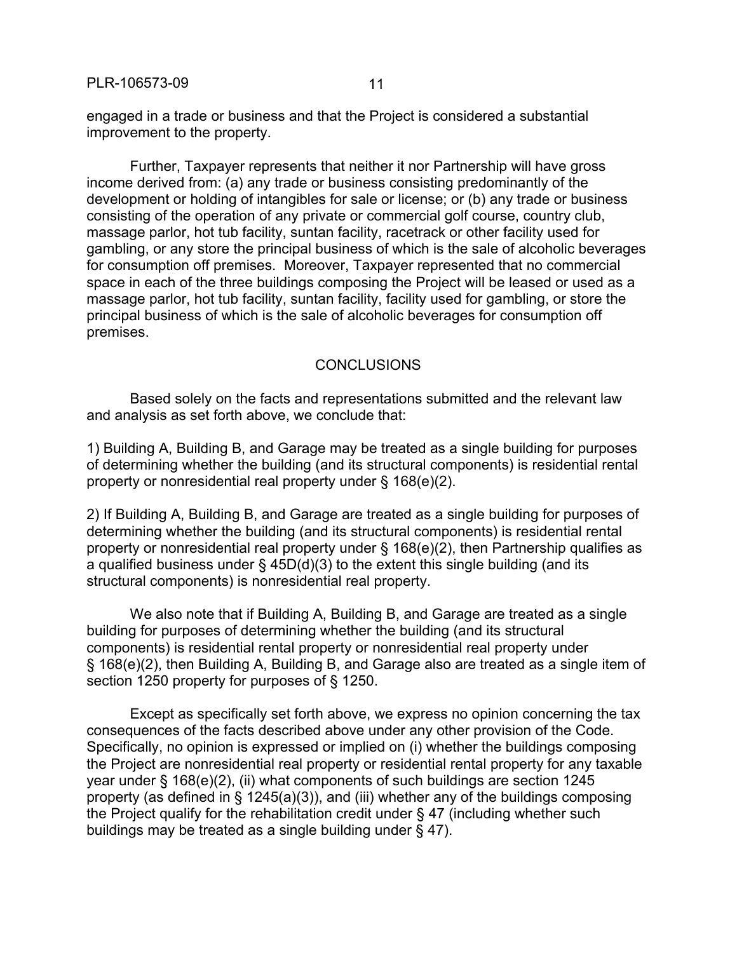engaged in a trade or business and that the Project is considered a substantial improvement to the property.

Further, Taxpayer represents that neither it nor Partnership will have gross income derived from: (a) any trade or business consisting predominantly of the development or holding of intangibles for sale or license; or (b) any trade or business consisting of the operation of any private or commercial golf course, country club, massage parlor, hot tub facility, suntan facility, racetrack or other facility used for gambling, or any store the principal business of which is the sale of alcoholic beverages for consumption off premises. Moreover, Taxpayer represented that no commercial space in each of the three buildings composing the Project will be leased or used as a massage parlor, hot tub facility, suntan facility, facility used for gambling, or store the principal business of which is the sale of alcoholic beverages for consumption off premises.

### **CONCLUSIONS**

Based solely on the facts and representations submitted and the relevant law and analysis as set forth above, we conclude that:

1) Building A, Building B, and Garage may be treated as a single building for purposes of determining whether the building (and its structural components) is residential rental property or nonresidential real property under § 168(e)(2).

2) If Building A, Building B, and Garage are treated as a single building for purposes of determining whether the building (and its structural components) is residential rental property or nonresidential real property under § 168(e)(2), then Partnership qualifies as a qualified business under  $\S$  45D(d)(3) to the extent this single building (and its structural components) is nonresidential real property.

We also note that if Building A, Building B, and Garage are treated as a single building for purposes of determining whether the building (and its structural components) is residential rental property or nonresidential real property under § 168(e)(2), then Building A, Building B, and Garage also are treated as a single item of section 1250 property for purposes of § 1250.

Except as specifically set forth above, we express no opinion concerning the tax consequences of the facts described above under any other provision of the Code. Specifically, no opinion is expressed or implied on (i) whether the buildings composing the Project are nonresidential real property or residential rental property for any taxable year under § 168(e)(2), (ii) what components of such buildings are section 1245 property (as defined in § 1245(a)(3)), and (iii) whether any of the buildings composing the Project qualify for the rehabilitation credit under § 47 (including whether such buildings may be treated as a single building under § 47).